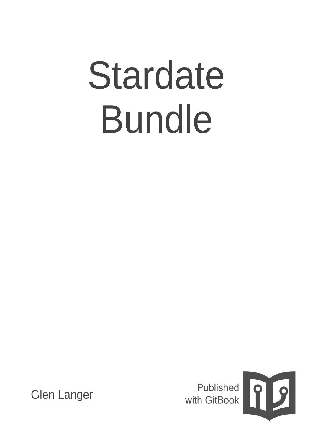# Stardate **Bundle**



**Glen Langer**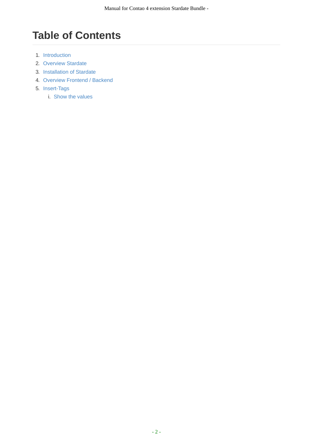# **Table of Contents**

- 1. Introduction
- 2. Overview Stardate
- 3. Installation of Stardate
- 4. [Overview](#page-2-0) Frontend / Backend
- 5. [Insert-Tags](#page-3-0)
	- i. Show the [values](#page-4-0)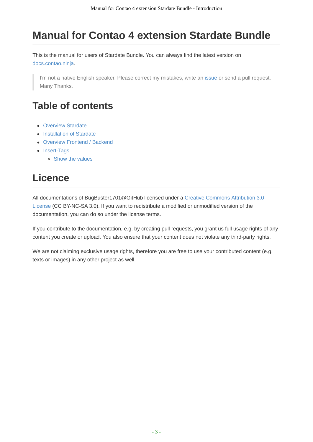# <span id="page-2-0"></span>**Manual for Contao 4 extension Stardate Bundle**

This is the manual for users of Stardate Bundle. You can always find the latest version on docs.contao.ninja.

I'm not a native English speaker. Please correct my mistakes, write an issue or send a pull request. Many [Thanks.](http://docs.contao.ninja/)

# **Table of contents**

- Overview Stardate
- Installation of Stardate
- Overview Frontend / Backend
- [Insert-Tags](#page-3-0)
	- Show the [values](#page-4-0)

# **Li[cence](#page-6-0)**

All documentations of BugBuster1701@GitHub licensed under a Creative Commons Attribution 3.0 License (CC BY-NC-SA 3.0). If you want to redistribute a modified or unmodified version of the documentation, you can do so under the license terms.

If you contribute to the [documentation,](http://creativecommons.org/licenses/by-nc-sa/3.0/) e.g. by creating pull requests, you grant us full usage rights of any content you create or upload. You also ensure that your content does not violate any third-party rights.

We are not claiming exclusive usage rights, therefore you are free to use your contributed content (e.g. texts or images) in any other project as well.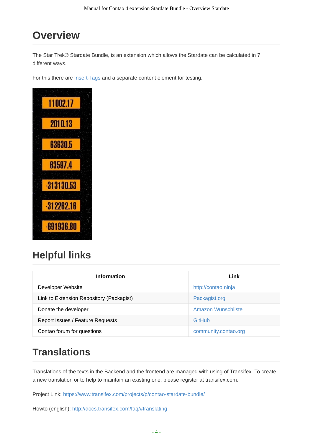# <span id="page-3-0"></span>**Overview**

The Star Trek® Stardate Bundle, is an extension which allows the Stardate can be calculated in 7 different ways.

For this there are Insert-Tags and a separate content element for testing.



# **Helpful links**

| <b>Information</b>                       | Link                 |
|------------------------------------------|----------------------|
| Developer Website                        | http://contao.ninja  |
| Link to Extension Repository (Packagist) | Packagist.org        |
| Donate the developer                     | Amazon Wunschliste   |
| Report Issues / Feature Requests         | GitHub               |
| Contao forum for questions               | community.contao.org |

# **Translations**

Translations of the texts in the Backend and the frontend are managed with using of Transifex. To create a new translation or to help to maintain an existing one, please register at transifex.com.

Project Link: https://www.transifex.com/projects/p/contao-stardate-bundle/

Howto (english): http://docs.transifex.com/faq/#translating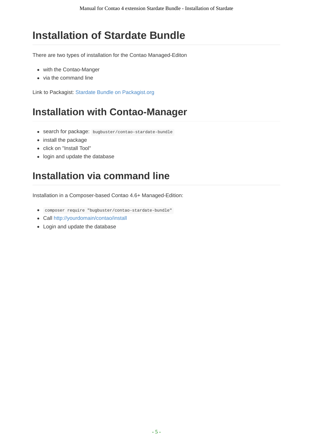# <span id="page-4-0"></span>**Installation of Stardate Bundle**

There are two types of installation for the Contao Managed-Editon

- with the Contao-Manger
- via the command line

Link to Packagist: Stardate Bundle on Packagist.org

# **Installation with [Contao-M](https://packagist.org/packages/bugbuster/contao-stardate-bundle)anager**

- search for package: bugbuster/contao-stardate-bundle
- install the package
- click on "Install Tool"
- login and update the database

## **Installation via command line**

Installation in a Composer-based Contao 4.6+ Managed-Edition:

- composer require "bugbuster/contao-stardate-bundle"
- Call http://yourdomain/contao/install
- Login and update the database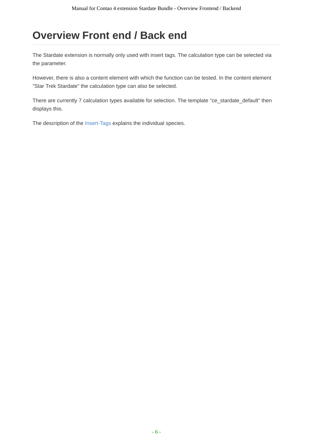# **Overview Front end / Back end**

The Stardate extension is normally only used with insert tags. The calculation type can be selected via the parameter.

However, there is also a content element with which the function can be tested. In the content element "Star Trek Stardate" the calculation type can also be selected.

There are currently 7 calculation types available for selection. The template "ce\_stardate\_default" then displays this.

The description of the Insert-Tags explains the individual species.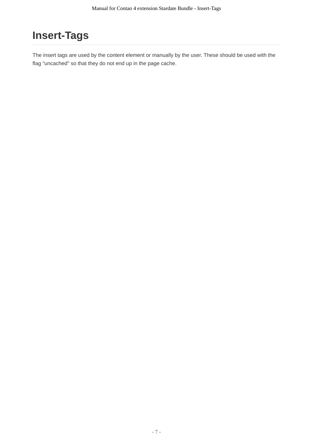# <span id="page-6-0"></span>**Insert-Tags**

The insert tags are used by the content element or manually by the user. These should be used with the flag "uncached" so that they do not end up in the page cache.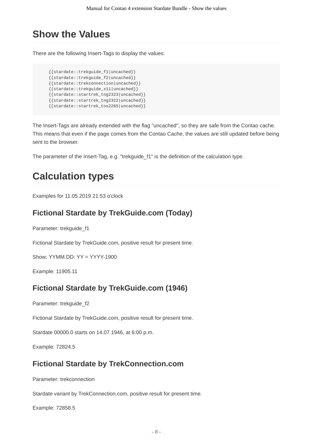## <span id="page-7-0"></span>**Show the Values**

There are the following Insert-Tags to display the values:

```
{{stardate::trekguide_f1|uncached}}
{{stardate::trekguide_f2|uncached}}
{{stardate::trekconnection|uncached}}
{{stardate::trekguide_x11|uncached}}
{{stardate::startrek_tng2323|uncached}}
{{stardate::startrek_tng2322|uncached}}
{{stardate::startrek_tos2265|uncached}}
```
The Insert-Tags are already extended with the flag "uncached", so they are safe from the Contao cache. This means that even if the page comes from the Contao Cache, the values are still updated before being sent to the browser.

The parameter of the Insert-Tag, e.g. "trekguide f1" is the definition of the calculation type.

## **Calculation types**

Examples for 11.05.2019 21:53 o'clock

#### **Fictional Stardate by TrekGuide.com (Today)**

Parameter: trekguide f1

Fictional Stardate by TrekGuide.com, positive result for present time.

Show: YYMM.DD: YY = YYYY-1900

Example: 11905.11

#### **Fictional Stardate by TrekGuide.com (1946)**

Parameter: trekguide\_f2

Fictional Stardate by TrekGuide.com, positive result for present time.

Stardate 00000.0 starts on 14.07.1946, at 6:00 p.m.

Example: 72824.5

#### **Fictional Stardate by TrekConnection.com**

Parameter: trekconnection

Stardate variant by TrekConnection.com, positive result for present time.

Example: 72858.5